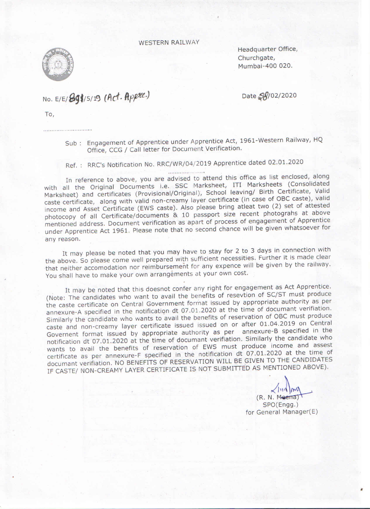**WESTERN RAILWAY** 



Headquarter Office, Churchgate, Mumbai-400 020.

## NO. E/E/89\$/5/19 (Act. Appre.)

Date 28/02/2020

To,

Sub: Engagement of Apprentice under Apprentice Act, 1961-Western Railway, HQ Office, CCG / Call letter for Document Verification.

Ref.: RRC's Notification No. RRC/WR/04/2019 Apprentice dated 02.01.2020

In reference to above, you are advised to attend this office as list enclosed, along with all the Original Documents i.e. SSC Marksheet, ITI Marksheets (Consolidated Marksheet) and certificates (Provisional/Original), School leaving/ Birth Certificate, Valid caste certificate, along with valid non-creamy layer certificate (in case of OBC caste), valid income and Asset Certificate (EWS caste). Also please bring atleat two (2) set of attested photocopy of all Certificate/documents & 10 passport size recent photograhs at above mentioned address. Document verification as apart of process of engagement of Apprentice under Apprentice Act 1961. Please note that no second chance will be given whatsoever for any reason.

It may please be noted that you may have to stay for 2 to 3 days in connection with the above. So please come well prepared with sufficient necessities. Further it is made clear that neither accomodation nor reimbursement for any expence will be given by the railway. You shall have to make your own arrangements at your own cost.

It may be noted that this doesnot confer any right for engagement as Act Apprentice. (Note: The candidates who want to avail the benefits of resevtion of SC/ST must produce the caste certificate on Central Government format issued by appropriate authority as per annexure-A specified in the notification dt 07.01.2020 at the time of documant verifiation. Similarly the candidate who wants to avail the benefits of reservation of OBC must produce caste and non-creamy layer certificate issued issued on or after 01.04.2019 on Central Governent format issued by appropriate authority as per annexure-B specified in the notification dt 07.01.2020 at the time of documant verifiation. Similarly the candidate who wants to avail the benefits of reservation of EWS must produce income and assest certificate as per annexure-F specified in the notification dt 07.01.2020 at the time of documant verifiation. NO BENEFITS OF RESERVATION WILL BE GIVEN TO THE CANDIDATES IF CASTE/ NON-CREAMY LAYER CERTIFICATE IS NOT SUBMITTED AS MENTIONED ABOVE).

 $111111$  $(R. N. Meerna)$ SPO(Engg.) for General Manager(E)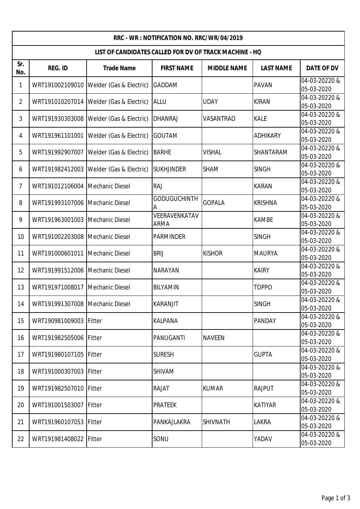| RRC - WR : NOTIFICATION NO. RRC/WR/04/2019             |                                 |                         |                       |                    |                  |                             |  |
|--------------------------------------------------------|---------------------------------|-------------------------|-----------------------|--------------------|------------------|-----------------------------|--|
| LIST OF CANDIDATES CALLED FOR DV OF TRACK MACHINE - HQ |                                 |                         |                       |                    |                  |                             |  |
| Sr.<br>No.                                             | <b>REG. ID</b>                  | <b>Trade Name</b>       | <b>FIRST NAME</b>     | <b>MIDDLE NAME</b> | <b>LAST NAME</b> | <b>DATE OF DV</b>           |  |
| 1                                                      | WRT191002109010                 | Welder (Gas & Electric) | GADDAM                |                    | <b>PAVAN</b>     | 04-03-20220 &<br>05-03-2020 |  |
| $\overline{2}$                                         | WRT191010207014                 | Welder (Gas & Electric) | <b>ALLU</b>           | <b>UDAY</b>        | <b>KIRAN</b>     | 04-03-20220 &<br>05-03-2020 |  |
| 3                                                      | WRT191930303008                 | Welder (Gas & Electric) | <b>DHANRAJ</b>        | VASANTRAO          | <b>KALE</b>      | 04-03-20220 &<br>05-03-2020 |  |
| 4                                                      | WRT191961101001                 | Welder (Gas & Electric) | GOUTAM                |                    | <b>ADHIKARY</b>  | 04-03-20220 &<br>05-03-2020 |  |
| 5                                                      | WRT191992907007                 | Welder (Gas & Electric) | <b>BARHE</b>          | <b>VISHAL</b>      | SHANTARAM        | 04-03-20220 &<br>05-03-2020 |  |
| 6                                                      | WRT191982412003                 | Welder (Gas & Electric) | <b>SUKHJINDER</b>     | <b>SHAM</b>        | <b>SINGH</b>     | 04-03-20220 &<br>05-03-2020 |  |
| $\overline{7}$                                         | WRT191012106004                 | <b>Mechanic Diesel</b>  | <b>RAJ</b>            |                    | <b>KARAN</b>     | 04-03-20220 &<br>05-03-2020 |  |
| 8                                                      | WRT191993107006                 | <b>Mechanic Diesel</b>  | <b>GODUGUCHINTH</b>   | <b>GOPALA</b>      | <b>KRISHNA</b>   | 04-03-20220 &<br>05-03-2020 |  |
| 9                                                      | WRT191963001003                 | <b>Mechanic Diesel</b>  | VEERAVENKATAV<br>ARMA |                    | <b>KAMBE</b>     | 04-03-20220 &<br>05-03-2020 |  |
| 10                                                     | WRT191002203008                 | <b>Mechanic Diesel</b>  | <b>PARMINDER</b>      |                    | <b>SINGH</b>     | 04-03-20220 &<br>05-03-2020 |  |
| 11                                                     | WRT191000601011                 | Mechanic Diesel         | <b>BRIJ</b>           | <b>KISHOR</b>      | <b>MAURYA</b>    | 04-03-20220 &<br>05-03-2020 |  |
| 12                                                     | WRT191991512006                 | <b>Mechanic Diesel</b>  | <b>NARAYAN</b>        |                    | <b>KAIRY</b>     | 04-03-20220 &<br>05-03-2020 |  |
| 13                                                     | WRT191971008017                 | <b>Mechanic Diesel</b>  | BILYAMIN              |                    | <b>TOPPO</b>     | 04-03-20220 &<br>05-03-2020 |  |
| 14                                                     | WRT191991307008 Mechanic Diesel |                         | <b>KARANJIT</b>       |                    | <b>SINGH</b>     | 04-03-20220 &<br>05-03-2020 |  |
| 15                                                     | WRT190981009003                 | Fitter                  | <b>KALPANA</b>        |                    | <b>PANDAY</b>    | 04-03-20220 &<br>05-03-2020 |  |
| 16                                                     | WRT191982505006                 | Fitter                  | PANUGANTI             | <b>NAVEEN</b>      |                  | 04-03-20220 &<br>05-03-2020 |  |
| 17                                                     | WRT191980107105                 | Fitter                  | <b>SURESH</b>         |                    | <b>GUPTA</b>     | 04-03-20220 &<br>05-03-2020 |  |
| 18                                                     | WRT191000307003                 | Fitter                  | SHIVAM                |                    |                  | 04-03-20220 &<br>05-03-2020 |  |
| 19                                                     | WRT191982507010                 | Fitter                  | <b>RAJAT</b>          | <b>KUMAR</b>       | <b>RAJPUT</b>    | 04-03-20220 &<br>05-03-2020 |  |
| 20                                                     | WRT191001503007                 | Fitter                  | <b>PRATEEK</b>        |                    | <b>KATIYAR</b>   | 04-03-20220 &<br>05-03-2020 |  |
| 21                                                     | WRT191960107053                 | Fitter                  | PANKAJLAKRA           | <b>SHIVNATH</b>    | <b>LAKRA</b>     | 04-03-20220 &<br>05-03-2020 |  |
| 22                                                     | WRT191981408022                 | Fitter                  | SONU                  |                    | YADAV            | 04-03-20220 &<br>05-03-2020 |  |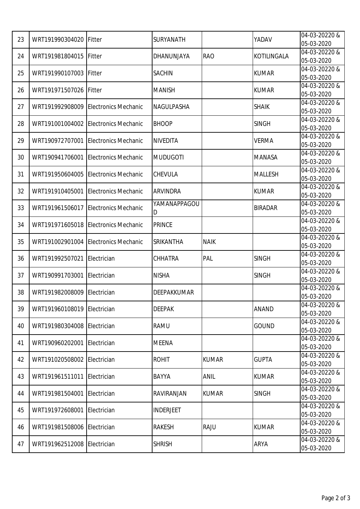| 23 | WRT191990304020             | Fitter                      | SURYANATH        |              | YADAV          | 04-03-20220 &               |
|----|-----------------------------|-----------------------------|------------------|--------------|----------------|-----------------------------|
|    |                             |                             |                  |              |                | 05-03-2020                  |
| 24 | WRT191981804015             | Fitter                      | DHANUNJAYA       | <b>RAO</b>   | KOTILINGALA    | 04-03-20220 &               |
|    |                             |                             |                  |              |                | 05-03-2020                  |
| 25 | WRT191990107003             | Fitter                      | <b>SACHIN</b>    |              | <b>KUMAR</b>   | 04-03-20220 &               |
|    |                             |                             |                  |              |                | 05-03-2020                  |
| 26 | WRT191971507026             | Fitter                      | <b>MANISH</b>    |              | <b>KUMAR</b>   | 04-03-20220 &               |
|    |                             |                             |                  |              |                | 05-03-2020                  |
| 27 | WRT191992908009             | <b>Electronics Mechanic</b> | NAGULPASHA       |              | <b>SHAIK</b>   | 04-03-20220 &               |
|    |                             |                             |                  |              |                | 05-03-2020                  |
| 28 | WRT191001004002             | <b>Electronics Mechanic</b> | <b>BHOOP</b>     |              | <b>SINGH</b>   | 04-03-20220 &               |
|    |                             |                             |                  |              |                | 05-03-2020                  |
| 29 | WRT190972707001             | <b>Electronics Mechanic</b> | <b>NIVEDITA</b>  |              | <b>VERMA</b>   | 04-03-20220 &               |
|    |                             |                             |                  |              |                | 05-03-2020                  |
| 30 | WRT190941706001             | <b>Electronics Mechanic</b> | <b>MUDUGOTI</b>  |              | <b>MANASA</b>  | 04-03-20220 &               |
|    |                             |                             |                  |              |                | 05-03-2020                  |
| 31 | WRT191950604005             | <b>Electronics Mechanic</b> | CHEVULA          |              | <b>MALLESH</b> | 04-03-20220 &               |
|    |                             |                             |                  |              |                | 05-03-2020                  |
| 32 | WRT191910405001             | <b>Electronics Mechanic</b> | <b>ARVINDRA</b>  |              | <b>KUMAR</b>   | 04-03-20220 &               |
|    |                             |                             |                  |              |                | 05-03-2020                  |
| 33 | WRT191961506017             | <b>Electronics Mechanic</b> | YAMANAPPAGOU     |              | <b>BIRADAR</b> | 04-03-20220 &               |
|    |                             |                             | D                |              |                | 05-03-2020                  |
| 34 | WRT191971605018             | <b>Electronics Mechanic</b> | <b>PRINCE</b>    |              |                | 04-03-20220 &               |
|    |                             |                             |                  |              |                | 05-03-2020                  |
| 35 | WRT191002901004             | <b>Electronics Mechanic</b> | <b>SRIKANTHA</b> | <b>NAIK</b>  |                | 04-03-20220 &               |
|    |                             |                             |                  |              |                | 05-03-2020<br>04-03-20220 & |
| 36 | WRT191992507021             | Electrician                 | CHHATRA          | PAL          | <b>SINGH</b>   | 05-03-2020                  |
|    |                             |                             |                  |              |                | 04-03-20220 &               |
| 37 | WRT190991703001             | Electrician                 | <b>NISHA</b>     |              | <b>SINGH</b>   | 05-03-2020                  |
|    |                             |                             |                  |              |                | 04-03-20220 &               |
| 38 | WRT191982008009             | Electrician                 | DEEPAKKUMAR      |              |                | 05-03-2020                  |
|    |                             |                             |                  |              |                | 04-03-20220 &               |
| 39 | WRT191960108019 Electrician |                             | <b>DEEPAK</b>    |              | <b>ANAND</b>   | 05-03-2020                  |
|    | WRT191980304008             | Electrician                 | <b>RAMU</b>      |              |                | 04-03-20220 &               |
| 40 |                             |                             |                  |              | <b>GOUND</b>   | 05-03-2020                  |
|    |                             |                             |                  |              |                | 04-03-20220 &               |
| 41 | WRT190960202001             | Electrician                 | <b>MEENA</b>     |              |                | 05-03-2020                  |
|    | WRT191020508002             | Electrician                 | <b>ROHIT</b>     | <b>KUMAR</b> | <b>GUPTA</b>   | 04-03-20220 &               |
| 42 |                             |                             |                  |              |                | 05-03-2020                  |
|    | WRT191961511011             | Electrician                 | <b>BAYYA</b>     | ANIL         | <b>KUMAR</b>   | 04-03-20220 &               |
| 43 |                             |                             |                  |              |                | 05-03-2020                  |
|    | WRT191981504001             | Electrician                 | RAVIRANJAN       | <b>KUMAR</b> | <b>SINGH</b>   | 04-03-20220 &               |
| 44 |                             |                             |                  |              |                | 05-03-2020                  |
| 45 | WRT191972608001             | Electrician                 | <b>INDERJEET</b> |              |                | 04-03-20220 &               |
|    |                             |                             |                  |              |                | 05-03-2020                  |
| 46 | WRT191981508006             | Electrician                 | RAKESH           | <b>RAJU</b>  | <b>KUMAR</b>   | 04-03-20220 &               |
|    |                             |                             |                  |              |                | 05-03-2020                  |
| 47 | WRT191962512008             | Electrician                 | <b>SHRISH</b>    |              | <b>ARYA</b>    | 04-03-20220 &               |
|    |                             |                             |                  |              |                | 05-03-2020                  |